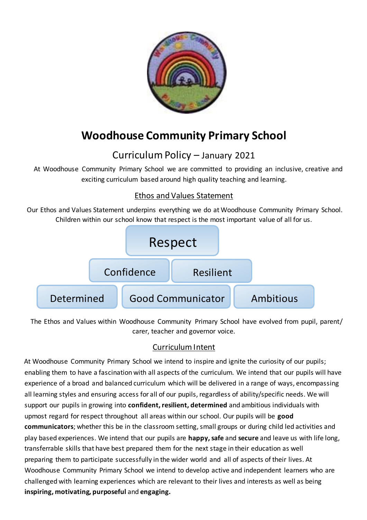

# **Woodhouse Community Primary School**

## Curriculum Policy – January 2021

At Woodhouse Community Primary School we are committed to providing an inclusive, creative and exciting curriculum based around high quality teaching and learning.

## Ethos and Values Statement

Our Ethos and Values Statement underpins everything we do at Woodhouse Community Primary School. Children within our school know that respect is the most important value of all for us.



The Ethos and Values within Woodhouse Community Primary School have evolved from pupil, parent/ carer, teacher and governor voice.

## Curriculum Intent

At Woodhouse Community Primary School we intend to inspire and ignite the curiosity of our pupils; enabling them to have a fascination with all aspects of the curriculum. We intend that our pupils will have experience of a broad and balanced curriculum which will be delivered in a range of ways, encompassing all learning styles and ensuring access for all of our pupils, regardless of ability/specific needs. We will support our pupils in growing into **confident, resilient, determined** and ambitious individuals with upmost regard for respect throughout all areas within our school. Our pupils will be **good communicators**; whether this be in the classroom setting, small groups or during child led activities and play based experiences. We intend that our pupils are **happy, safe** and **secure** and leave us with life long, transferrable skills that have best prepared them for the next stage in their education as well preparing them to participate successfully in the wider world and all of aspects of their lives. At Woodhouse Community Primary School we intend to develop active and independent learners who are challenged with learning experiences which are relevant to their lives and interests as well as being **inspiring, motivating, purposeful** and **engaging.**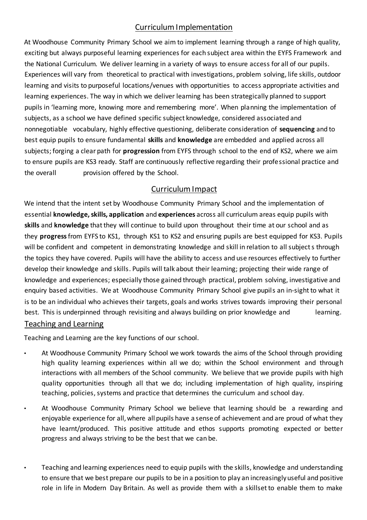## Curriculum Implementation

At Woodhouse Community Primary School we aim to implement learning through a range of high quality, exciting but always purposeful learning experiences for each subject area within the EYFS Framework and the National Curriculum. We deliver learning in a variety of ways to ensure access for all of our pupils. Experiences will vary from theoretical to practical with investigations, problem solving, life skills, outdoor learning and visits to purposeful locations/venues with opportunities to access appropriate activities and learning experiences. The way in which we deliver learning has been strategically planned to support pupils in 'learning more, knowing more and remembering more'. When planning the implementation of subjects, as a school we have defined specific subject knowledge, considered associated and nonnegotiable vocabulary, highly effective questioning, deliberate consideration of **sequencing** and to best equip pupils to ensure fundamental **skills** and **knowledge** are embedded and applied across all subjects; forging a clear path for **progression** from EYFS through school to the end of KS2, where we aim to ensure pupils are KS3 ready. Staff are continuously reflective regarding their professional practice and the overall provision offered by the School.

### Curriculum Impact

We intend that the intent set by Woodhouse Community Primary School and the implementation of essential **knowledge, skills, application** and **experiences** across all curriculum areas equip pupils with **skills** and **knowledge** that they will continue to build upon throughout their time at our school and as they **progress**from EYFS to KS1, through KS1 to KS2 and ensuring pupils are best equipped for KS3. Pupils will be confident and competent in demonstrating knowledge and skill in relation to all subject s through the topics they have covered. Pupils will have the ability to access and use resources effectively to further develop their knowledge and skills. Pupils will talk about their learning; projecting their wide range of knowledge and experiences; especially those gained through practical, problem solving, investigative and enquiry based activities. We at Woodhouse Community Primary School give pupils an in-sight to what it is to be an individual who achieves their targets, goals and works strives towards improving their personal best. This is underpinned through revisiting and always building on prior knowledge and learning. Teaching and Learning

Teaching and Learning are the key functions of our school.

- At Woodhouse Community Primary School we work towards the aims of the School through providing high quality learning experiences within all we do; within the School environment and through interactions with all members of the School community. We believe that we provide pupils with high quality opportunities through all that we do; including implementation of high quality, inspiring teaching, policies, systems and practice that determines the curriculum and school day.
- At Woodhouse Community Primary School we believe that learning should be a rewarding and enjoyable experience for all, where all pupils have a sense of achievement and are proud of what they have learnt/produced. This positive attitude and ethos supports promoting expected or better progress and always striving to be the best that we can be.
	- Teaching and learning experiences need to equip pupils with the skills, knowledge and understanding to ensure that we best prepare our pupils to be in a position to play an increasingly useful and positive role in life in Modern Day Britain. As well as provide them with a skillset to enable them to make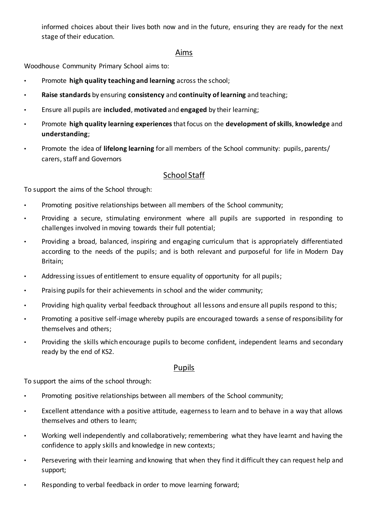informed choices about their lives both now and in the future, ensuring they are ready for the next stage of their education.

#### Aims

Woodhouse Community Primary School aims to:

- Promote **high quality teaching and learning** across the school;
- **Raise standards** by ensuring **consistency** and **continuity of learning** and teaching;
- Ensure all pupils are **included**, **motivated** and **engaged** by their learning;
- Promote **high quality learning experiences**that focus on the **development of skills**, **knowledge** and **understanding**;
- Promote the idea of **lifelong learning** for all members of the School community: pupils, parents/ carers, staff and Governors

#### School Staff

To support the aims of the School through:

- Promoting positive relationships between all members of the School community;
- Providing a secure, stimulating environment where all pupils are supported in responding to challenges involved in moving towards their full potential;
- Providing a broad, balanced, inspiring and engaging curriculum that is appropriately differentiated according to the needs of the pupils; and is both relevant and purposeful for life in Modern Day Britain;
- Addressing issues of entitlement to ensure equality of opportunity for all pupils;
- Praising pupils for their achievements in school and the wider community;
- Providing high quality verbal feedback throughout all lessons and ensure all pupils respond to this;
- Promoting a positive self-image whereby pupils are encouraged towards a sense of responsibility for themselves and others;
- Providing the skills which encourage pupils to become confident, independent learns and secondary ready by the end of KS2.

#### Pupils

To support the aims of the school through:

- Promoting positive relationships between all members of the School community;
- Excellent attendance with a positive attitude, eagerness to learn and to behave in a way that allows themselves and others to learn;
- Working well independently and collaboratively; remembering what they have learnt and having the confidence to apply skills and knowledge in new contexts;
- Persevering with their learning and knowing that when they find it difficult they can request help and support;
- Responding to verbal feedback in order to move learning forward;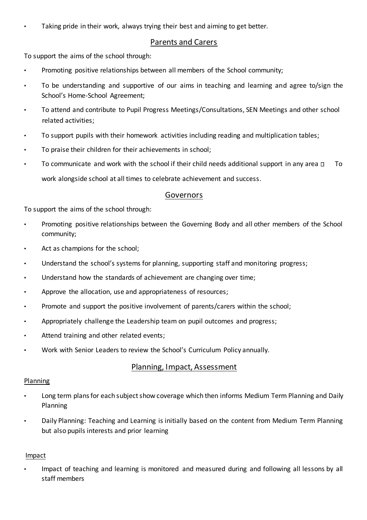Taking pride in their work, always trying their best and aiming to get better.

#### Parents and Carers

To support the aims of the school through:

- Promoting positive relationships between all members of the School community;
- To be understanding and supportive of our aims in teaching and learning and agree to/sign the School's Home-School Agreement;
- To attend and contribute to Pupil Progress Meetings/Consultations, SEN Meetings and other school related activities;
- To support pupils with their homework activities including reading and multiplication tables;
- To praise their children for their achievements in school;
- To communicate and work with the school if their child needs additional support in any area  $\Box$  To work alongside school at all times to celebrate achievement and success.

#### Governors

To support the aims of the school through:

- Promoting positive relationships between the Governing Body and all other members of the School community;
- Act as champions for the school;
- Understand the school's systems for planning, supporting staff and monitoring progress;
- Understand how the standards of achievement are changing over time;
- Approve the allocation, use and appropriateness of resources;
- Promote and support the positive involvement of parents/carers within the school;
- Appropriately challenge the Leadership team on pupil outcomes and progress;
- Attend training and other related events;
- Work with Senior Leaders to review the School's Curriculum Policy annually.

#### Planning, Impact, Assessment

#### Planning

- Long term plans for each subject show coverage which then informs Medium Term Planning and Daily Planning
- Daily Planning: Teaching and Learning is initially based on the content from Medium Term Planning but also pupils interests and prior learning

#### Impact

• Impact of teaching and learning is monitored and measured during and following all lessons by all staff members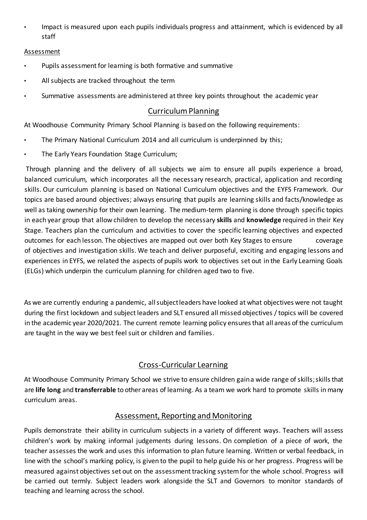• Impact is measured upon each pupils individuals progress and attainment, which is evidenced by all staff

#### Assessment

- Pupils assessment for learning is both formative and summative
- All subjects are tracked throughout the term
- Summative assessments are administered at three key points throughout the academic year

#### Curriculum Planning

At Woodhouse Community Primary School Planning is based on the following requirements:

- The Primary National Curriculum 2014 and all curriculum is underpinned by this;
- The Early Years Foundation Stage Curriculum;

Through planning and the delivery of all subjects we aim to ensure all pupils experience a broad, balanced curriculum, which incorporates all the necessary research, practical, application and recording skills. Our curriculum planning is based on National Curriculum objectives and the EYFS Framework. Our topics are based around objectives; always ensuring that pupils are learning skills and facts/knowledge as well as taking ownership for their own learning. The medium-term planning is done through specific topics in each year group that allow children to develop the necessary **skills** and **knowledge** required in their Key Stage. Teachers plan the curriculum and activities to cover the specific learning objectives and expected outcomes for each lesson. The objectives are mapped out over both Key Stages to ensure coverage of objectives and investigation skills. We teach and deliver purposeful, exciting and engaging lessons and experiences in EYFS, we related the aspects of pupils work to objectives set out in the Early Learning Goals (ELGs) which underpin the curriculum planning for children aged two to five.

As we are currently enduring a pandemic, all subject leaders have looked at what objectives were not taught during the first lockdown and subject leaders and SLT ensured all missed objectives / topics will be covered in the academic year 2020/2021. The current remote learning policy ensures that all areas of the curriculum are taught in the way we best feel suit or children and families.

## Cross-Curricular Learning

At Woodhouse Community Primary School we strive to ensure children gain a wide range of skills; skills that are **life long** and **transferrable** to other areas of learning. As a team we work hard to promote skills in many curriculum areas.

#### Assessment, Reporting and Monitoring

Pupils demonstrate their ability in curriculum subjects in a variety of different ways. Teachers will assess children's work by making informal judgements during lessons. On completion of a piece of work, the teacher assesses the work and uses this information to plan future learning. Written or verbal feedback, in line with the school's marking policy, is given to the pupil to help guide his or her progress. Progress will be measured against objectives set out on the assessment tracking system for the whole school. Progress will be carried out termly. Subject leaders work alongside the SLT and Governors to monitor standards of teaching and learning across the school.